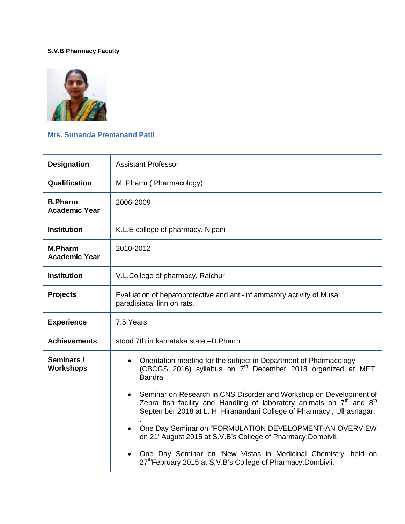## **S.V.B Pharmacy Faculty**



## **Mrs. Sunanda Premanand Patil**

| <b>Designation</b>                     | <b>Assistant Professor</b>                                                                                                                                                                                              |
|----------------------------------------|-------------------------------------------------------------------------------------------------------------------------------------------------------------------------------------------------------------------------|
| Qualification                          | M. Pharm (Pharmacology)                                                                                                                                                                                                 |
| <b>B.Pharm</b><br><b>Academic Year</b> | 2006-2009                                                                                                                                                                                                               |
| <b>Institution</b>                     | K.L.E college of pharmacy. Nipani                                                                                                                                                                                       |
| <b>M.Pharm</b><br><b>Academic Year</b> | 2010-2012                                                                                                                                                                                                               |
| <b>Institution</b>                     | V.L.College of pharmacy, Raichur                                                                                                                                                                                        |
| <b>Projects</b>                        | Evaluation of hepatoprotective and anti-Inflammatory activity of Musa<br>paradisiacal linn on rats.                                                                                                                     |
| <b>Experience</b>                      | 7.5 Years                                                                                                                                                                                                               |
| <b>Achievements</b>                    | stood 7th in karnataka state -D.Pharm                                                                                                                                                                                   |
| Seminars /<br><b>Workshops</b>         | Orientation meeting for the subject in Department of Pharmacology<br>(CBCGS 2016) syllabus on 7 <sup>th</sup> December 2018 organized at MET,<br><b>Bandra</b>                                                          |
|                                        | Seminar on Research in CNS Disorder and Workshop on Development of<br>Zebra fish facility and Handling of laboratory animals on $7th$ and $8th$<br>September 2018 at L. H. Hiranandani College of Pharmacy, Ulhasnagar. |
|                                        | One Day Seminar on "FORMULATION DEVELOPMENT-AN OVERVIEW<br>on 21 <sup>st</sup> August 2015 at S.V.B's College of Pharmacy, Dombivli.                                                                                    |
|                                        | One Day Seminar on 'New Vistas in Medicinal Chemistry' held on<br>27th February 2015 at S.V.B's College of Pharmacy, Dombivli.                                                                                          |